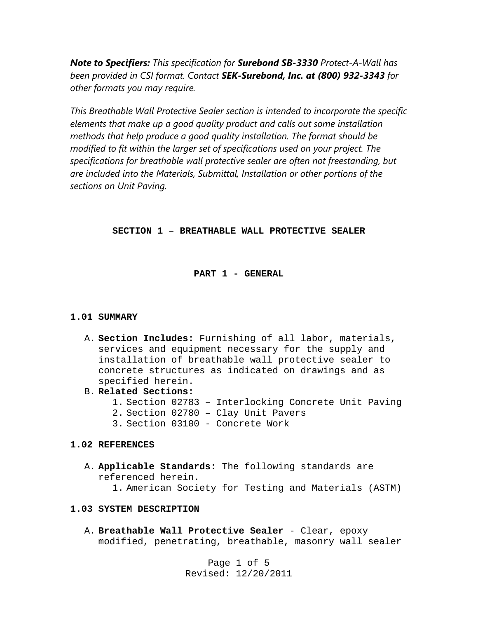*Note to Specifiers: This specification for Surebond SB-3330 Protect-A-Wall has been provided in CSI format. Contact SEK-Surebond, Inc. at (800) 932-3343 for other formats you may require.* 

*This Breathable Wall Protective Sealer section is intended to incorporate the specific elements that make up a good quality product and calls out some installation methods that help produce a good quality installation. The format should be modified to fit within the larger set of specifications used on your project. The specifications for breathable wall protective sealer are often not freestanding, but are included into the Materials, Submittal, Installation or other portions of the sections on Unit Paving.* 

## **SECTION 1 – BREATHABLE WALL PROTECTIVE SEALER**

### **PART 1 - GENERAL**

### **1.01 SUMMARY**

- A. **Section Includes:** Furnishing of all labor, materials, services and equipment necessary for the supply and installation of breathable wall protective sealer to concrete structures as indicated on drawings and as specified herein.
- B. **Related Sections:**
	- 1. Section 02783 Interlocking Concrete Unit Paving
	- 2. Section 02780 Clay Unit Pavers
	- 3. Section 03100 Concrete Work

### **1.02 REFERENCES**

A. **Applicable Standards:** The following standards are referenced herein. 1. American Society for Testing and Materials (ASTM)

### **1.03 SYSTEM DESCRIPTION**

A. **Breathable Wall Protective Sealer** - Clear, epoxy modified, penetrating, breathable, masonry wall sealer

> Page 1 of 5 Revised: 12/20/2011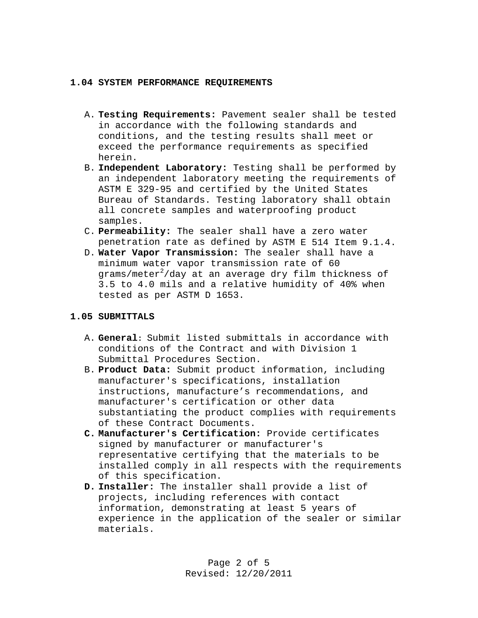### **1.04 SYSTEM PERFORMANCE REQUIREMENTS**

- A. **Testing Requirements:** Pavement sealer shall be tested in accordance with the following standards and conditions, and the testing results shall meet or exceed the performance requirements as specified herein.
- B. **Independent Laboratory:** Testing shall be performed by an independent laboratory meeting the requirements of ASTM E 329-95 and certified by the United States Bureau of Standards. Testing laboratory shall obtain all concrete samples and waterproofing product samples.
- C. **Permeability:** The sealer shall have a zero water penetration rate as defined by ASTM E 514 Item 9.1.4.
- D. **Water Vapor Transmission:** The sealer shall have a minimum water vapor transmission rate of 60 grams/meter $^2$ /day at an average dry film thickness of 3.5 to 4.0 mils and a relative humidity of 40% when tested as per ASTM D 1653.

## **1.05 SUBMITTALS**

- A. **General:** Submit listed submittals in accordance with conditions of the Contract and with Division 1 Submittal Procedures Section.
- B. **Product Data:** Submit product information, including manufacturer's specifications, installation instructions, manufacture's recommendations, and manufacturer's certification or other data substantiating the product complies with requirements of these Contract Documents.
- **C. Manufacturer's Certification:** Provide certificates signed by manufacturer or manufacturer's representative certifying that the materials to be installed comply in all respects with the requirements of this specification.
- **D. Installer:** The installer shall provide a list of projects, including references with contact information, demonstrating at least 5 years of experience in the application of the sealer or similar materials.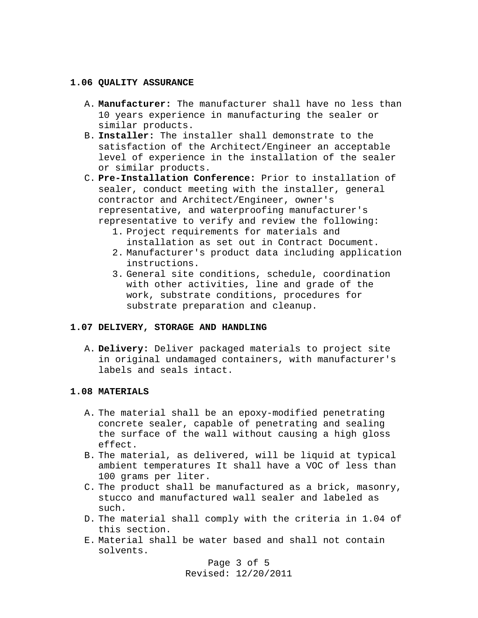### **1.06 QUALITY ASSURANCE**

- A. **Manufacturer:** The manufacturer shall have no less than 10 years experience in manufacturing the sealer or similar products.
- B. **Installer:** The installer shall demonstrate to the satisfaction of the Architect/Engineer an acceptable level of experience in the installation of the sealer or similar products.
- C. **Pre-Installation Conference:** Prior to installation of sealer, conduct meeting with the installer, general contractor and Architect/Engineer, owner's representative, and waterproofing manufacturer's representative to verify and review the following:
	- 1. Project requirements for materials and installation as set out in Contract Document.
	- 2. Manufacturer's product data including application instructions.
	- 3. General site conditions, schedule, coordination with other activities, line and grade of the work, substrate conditions, procedures for substrate preparation and cleanup.

### **1.07 DELIVERY, STORAGE AND HANDLING**

A. **Delivery:** Deliver packaged materials to project site in original undamaged containers, with manufacturer's labels and seals intact.

## **1.08 MATERIALS**

- A. The material shall be an epoxy-modified penetrating concrete sealer, capable of penetrating and sealing the surface of the wall without causing a high gloss effect.
- B. The material, as delivered, will be liquid at typical ambient temperatures It shall have a VOC of less than 100 grams per liter.
- C. The product shall be manufactured as a brick, masonry, stucco and manufactured wall sealer and labeled as such.
- D. The material shall comply with the criteria in 1.04 of this section.
- E. Material shall be water based and shall not contain solvents.

Page 3 of 5 Revised: 12/20/2011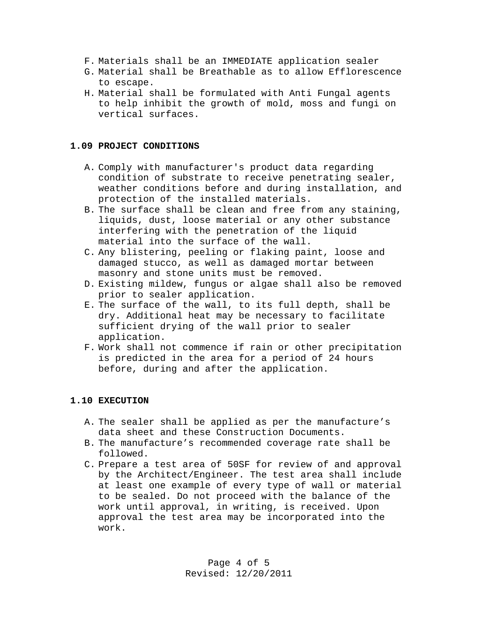- F. Materials shall be an IMMEDIATE application sealer
- G. Material shall be Breathable as to allow Efflorescence to escape.
- H. Material shall be formulated with Anti Fungal agents to help inhibit the growth of mold, moss and fungi on vertical surfaces.

## **1.09 PROJECT CONDITIONS**

- A. Comply with manufacturer's product data regarding condition of substrate to receive penetrating sealer, weather conditions before and during installation, and protection of the installed materials.
- B. The surface shall be clean and free from any staining, liquids, dust, loose material or any other substance interfering with the penetration of the liquid material into the surface of the wall.
- C. Any blistering, peeling or flaking paint, loose and damaged stucco, as well as damaged mortar between masonry and stone units must be removed.
- D. Existing mildew, fungus or algae shall also be removed prior to sealer application.
- E. The surface of the wall, to its full depth, shall be dry. Additional heat may be necessary to facilitate sufficient drying of the wall prior to sealer application.
- F. Work shall not commence if rain or other precipitation is predicted in the area for a period of 24 hours before, during and after the application.

# **1.10 EXECUTION**

- A. The sealer shall be applied as per the manufacture's data sheet and these Construction Documents.
- B. The manufacture's recommended coverage rate shall be followed.
- C. Prepare a test area of 50SF for review of and approval by the Architect/Engineer. The test area shall include at least one example of every type of wall or material to be sealed. Do not proceed with the balance of the work until approval, in writing, is received. Upon approval the test area may be incorporated into the work.